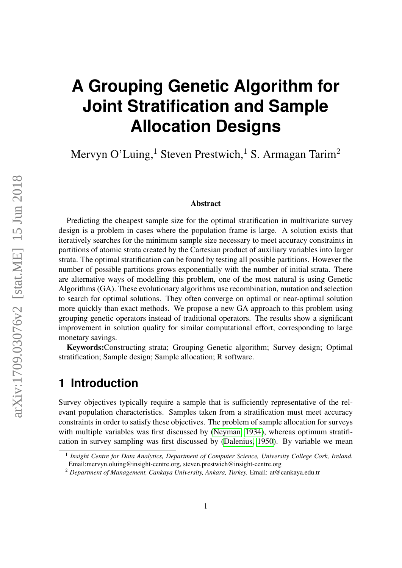# **A Grouping Genetic Algorithm for Joint Stratification and Sample Allocation Designs**

Mervyn O'Luing,<sup>1</sup> Steven Prestwich,<sup>1</sup> S. Armagan Tarim<sup>2</sup>

#### Abstract

Predicting the cheapest sample size for the optimal stratification in multivariate survey design is a problem in cases where the population frame is large. A solution exists that iteratively searches for the minimum sample size necessary to meet accuracy constraints in partitions of atomic strata created by the Cartesian product of auxiliary variables into larger strata. The optimal stratification can be found by testing all possible partitions. However the number of possible partitions grows exponentially with the number of initial strata. There are alternative ways of modelling this problem, one of the most natural is using Genetic Algorithms (GA). These evolutionary algorithms use recombination, mutation and selection to search for optimal solutions. They often converge on optimal or near-optimal solution more quickly than exact methods. We propose a new GA approach to this problem using grouping genetic operators instead of traditional operators. The results show a significant improvement in solution quality for similar computational effort, corresponding to large monetary savings.

Keywords:Constructing strata; Grouping Genetic algorithm; Survey design; Optimal stratification; Sample design; Sample allocation; R software.

### **1 Introduction**

Survey objectives typically require a sample that is sufficiently representative of the relevant population characteristics. Samples taken from a stratification must meet accuracy constraints in order to satisfy these objectives. The problem of sample allocation for surveys with multiple variables was first discussed by [\(Neyman, 1934\)](#page-24-0), whereas optimum stratification in survey sampling was first discussed by [\(Dalenius, 1950\)](#page-22-0). By variable we mean

<sup>&</sup>lt;sup>1</sup> Insight Centre for Data Analytics, Department of Computer Science, University College Cork, Ireland. Email:mervyn.oluing@insight-centre.org, steven.prestwich@insight-centre.org

<sup>2</sup> *Department of Management, Cankaya University, Ankara, Turkey.* Email: at@cankaya.edu.tr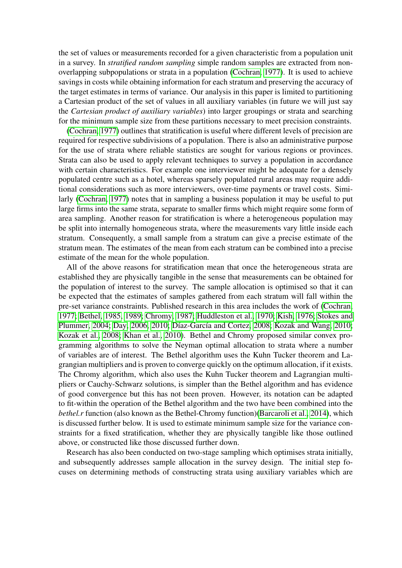the set of values or measurements recorded for a given characteristic from a population unit in a survey. In *stratified random sampling* simple random samples are extracted from nonoverlapping subpopulations or strata in a population [\(Cochran, 1977\)](#page-22-1). It is used to achieve savings in costs while obtaining information for each stratum and preserving the accuracy of the target estimates in terms of variance. Our analysis in this paper is limited to partitioning a Cartesian product of the set of values in all auxiliary variables (in future we will just say the *Cartesian product of auxiliary variables*) into larger groupings or strata and searching for the minimum sample size from these partitions necessary to meet precision constraints.

[\(Cochran, 1977\)](#page-22-1) outlines that stratification is useful where different levels of precision are required for respective subdivisions of a population. There is also an administrative purpose for the use of strata where reliable statistics are sought for various regions or provinces. Strata can also be used to apply relevant techniques to survey a population in accordance with certain characteristics. For example one interviewer might be adequate for a densely populated centre such as a hotel, whereas sparsely populated rural areas may require additional considerations such as more interviewers, over-time payments or travel costs. Similarly [\(Cochran, 1977\)](#page-22-1) notes that in sampling a business population it may be useful to put large firms into the same strata, separate to smaller firms which might require some form of area sampling. Another reason for stratification is where a heterogeneous population may be split into internally homogeneous strata, where the measurements vary little inside each stratum. Consequently, a small sample from a stratum can give a precise estimate of the stratum mean. The estimates of the mean from each stratum can be combined into a precise estimate of the mean for the whole population.

All of the above reasons for stratification mean that once the heterogeneous strata are established they are physically tangible in the sense that measurements can be obtained for the population of interest to the survey. The sample allocation is optimised so that it can be expected that the estimates of samples gathered from each stratum will fall within the pre-set variance constraints. Published research in this area includes the work of [\(Cochran,](#page-22-1) [1977;](#page-22-1) [Bethel, 1985,](#page-22-2) [1989;](#page-22-3) [Chromy, 1987;](#page-22-4) [Huddleston et al., 1970;](#page-23-0) [Kish, 1976;](#page-23-1) [Stokes and](#page-24-1) [Plummer, 2004;](#page-24-1) [Day, 2006,](#page-22-5) [2010;](#page-22-6) [Díaz-García and Cortez, 2008;](#page-23-2) [Kozak and Wang, 2010;](#page-24-2) [Kozak et al., 2008;](#page-24-3) [Khan et al., 2010\)](#page-23-3). Bethel and Chromy proposed similar convex programming algorithms to solve the Neyman optimal allocation to strata where a number of variables are of interest. The Bethel algorithm uses the Kuhn Tucker theorem and Lagrangian multipliers and is proven to converge quickly on the optimum allocation, if it exists. The Chromy algorithm, which also uses the Kuhn Tucker theorem and Lagrangian multipliers or Cauchy-Schwarz solutions, is simpler than the Bethel algorithm and has evidence of good convergence but this has not been proven. However, its notation can be adapted to fit-within the operation of the Bethel algorithm and the two have been combined into the *bethel.r* function (also known as the Bethel-Chromy function)[\(Barcaroli et al., 2014\)](#page-22-7), which is discussed further below. It is used to estimate minimum sample size for the variance constraints for a fixed stratification, whether they are physically tangible like those outlined above, or constructed like those discussed further down.

Research has also been conducted on two-stage sampling which optimises strata initially, and subsequently addresses sample allocation in the survey design. The initial step focuses on determining methods of constructing strata using auxiliary variables which are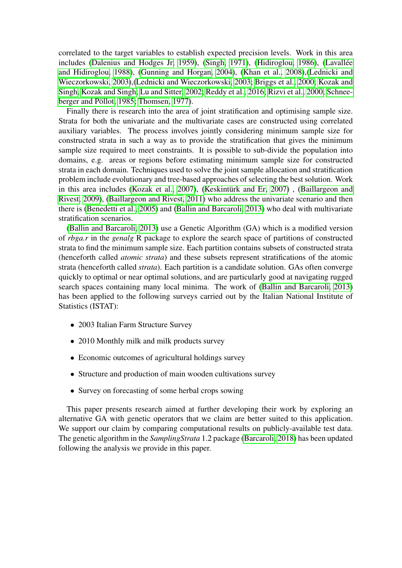correlated to the target variables to establish expected precision levels. Work in this area includes [\(Dalenius and Hodges Jr, 1959\)](#page-22-8), [\(Singh, 1971\)](#page-24-4), [\(Hidiroglou, 1986\)](#page-23-4), [\(Lavallée](#page-24-5) [and Hidiroglou, 1988\)](#page-24-5), [\(Gunning and Horgan, 2004\)](#page-23-5), [\(Khan et al., 2008\)](#page-23-6),[\(Lednicki and](#page-24-6) [Wieczorkowski, 2003\)](#page-24-6),[\(Lednicki and Wieczorkowski, 2003;](#page-24-7) [Briggs et al., 2000;](#page-24-8) [Kozak and](#page-24-9) [Singh, Kozak and Singh;](#page-24-9) [Lu and Sitter, 2002;](#page-24-10) [Reddy et al., 2016;](#page-24-11) [Rizvi et al., 2000;](#page-25-0) [Schnee](#page-25-1)[berger and Pöllot, 1985;](#page-25-1) [Thomsen, 1977\)](#page-25-2).

Finally there is research into the area of joint stratification and optimising sample size. Strata for both the univariate and the multivariate cases are constructed using correlated auxiliary variables. The process involves jointly considering minimum sample size for constructed strata in such a way as to provide the stratification that gives the minimum sample size required to meet constraints. It is possible to sub-divide the population into domains, e.g. areas or regions before estimating minimum sample size for constructed strata in each domain. Techniques used to solve the joint sample allocation and stratification problem include evolutionary and tree-based approaches of selecting the best solution. Work in this area includes [\(Kozak et al., 2007\)](#page-23-7), [\(Keskintürk and Er, 2007\)](#page-23-8) , [\(Baillargeon and](#page-21-0) [Rivest, 2009\)](#page-21-0), [\(Baillargeon and Rivest, 2011\)](#page-22-9) who address the univariate scenario and then there is [\(Benedetti et al., 2005\)](#page-22-10) and [\(Ballin and Barcaroli, 2013\)](#page-22-11) who deal with multivariate stratification scenarios.

[\(Ballin and Barcaroli, 2013\)](#page-22-11) use a Genetic Algorithm (GA) which is a modified version of *rbga.r* in the *genalg* R package to explore the search space of partitions of constructed strata to find the minimum sample size. Each partition contains subsets of constructed strata (henceforth called *atomic strata*) and these subsets represent stratifications of the atomic strata (henceforth called *strata*). Each partition is a candidate solution. GAs often converge quickly to optimal or near optimal solutions, and are particularly good at navigating rugged search spaces containing many local minima. The work of [\(Ballin and Barcaroli, 2013\)](#page-22-11) has been applied to the following surveys carried out by the Italian National Institute of Statistics (ISTAT):

- 2003 Italian Farm Structure Survey
- 2010 Monthly milk and milk products survey
- Economic outcomes of agricultural holdings survey
- Structure and production of main wooden cultivations survey
- Survey on forecasting of some herbal crops sowing

This paper presents research aimed at further developing their work by exploring an alternative GA with genetic operators that we claim are better suited to this application. We support our claim by comparing computational results on publicly-available test data. The genetic algorithm in the *SamplingStrata* 1.2 package [\(Barcaroli, 2018\)](#page-25-3) has been updated following the analysis we provide in this paper.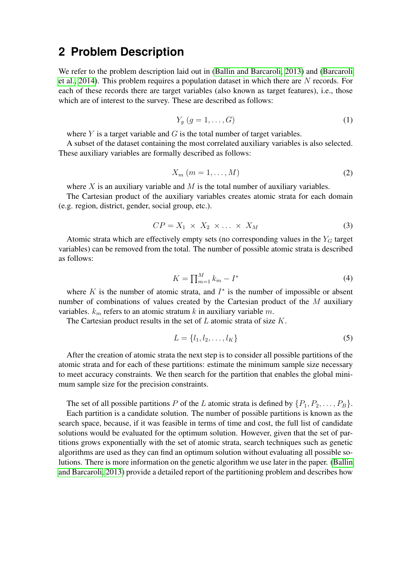### **2 Problem Description**

We refer to the problem description laid out in [\(Ballin and Barcaroli, 2013\)](#page-22-11) and [\(Barcaroli](#page-22-7) [et al., 2014\)](#page-22-7). This problem requires a population dataset in which there are N records. For each of these records there are target variables (also known as target features), i.e., those which are of interest to the survey. These are described as follows:

$$
Y_g(g = 1, \dots, G) \tag{1}
$$

where  $Y$  is a target variable and  $G$  is the total number of target variables.

A subset of the dataset containing the most correlated auxiliary variables is also selected. These auxiliary variables are formally described as follows:

$$
X_m (m = 1, \dots, M) \tag{2}
$$

where  $X$  is an auxiliary variable and  $M$  is the total number of auxiliary variables.

The Cartesian product of the auxiliary variables creates atomic strata for each domain (e.g. region, district, gender, social group, etc.).

$$
CP = X_1 \times X_2 \times \ldots \times X_M \tag{3}
$$

Atomic strata which are effectively empty sets (no corresponding values in the  $Y_G$  target variables) can be removed from the total. The number of possible atomic strata is described as follows:

$$
K = \prod_{m=1}^{M} k_m - I^*
$$
\n<sup>(4)</sup>

where  $K$  is the number of atomic strata, and  $I^*$  is the number of impossible or absent number of combinations of values created by the Cartesian product of the  $M$  auxiliary variables.  $k_m$  refers to an atomic stratum k in auxiliary variable m.

The Cartesian product results in the set of  $L$  atomic strata of size  $K$ .

$$
L = \{l_1, l_2, \dots, l_K\} \tag{5}
$$

After the creation of atomic strata the next step is to consider all possible partitions of the atomic strata and for each of these partitions: estimate the minimum sample size necessary to meet accuracy constraints. We then search for the partition that enables the global minimum sample size for the precision constraints.

The set of all possible partitions P of the L atomic strata is defined by  $\{P_1, P_2, \ldots, P_B\}$ . Each partition is a candidate solution. The number of possible partitions is known as the search space, because, if it was feasible in terms of time and cost, the full list of candidate solutions would be evaluated for the optimum solution. However, given that the set of partitions grows exponentially with the set of atomic strata, search techniques such as genetic algorithms are used as they can find an optimum solution without evaluating all possible solutions. There is more information on the genetic algorithm we use later in the paper. [\(Ballin](#page-22-11) [and Barcaroli, 2013\)](#page-22-11) provide a detailed report of the partitioning problem and describes how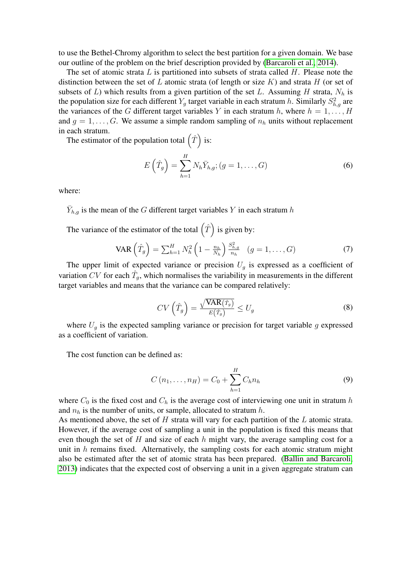to use the Bethel-Chromy algorithm to select the best partition for a given domain. We base our outline of the problem on the brief description provided by [\(Barcaroli et al., 2014\)](#page-22-7).

The set of atomic strata  $L$  is partitioned into subsets of strata called  $H$ . Please note the distinction between the set of L atomic strata (of length or size K) and strata H (or set of subsets of L) which results from a given partition of the set L. Assuming H strata,  $N_h$  is the population size for each different  $Y_g$  target variable in each stratum h. Similarly  $S_{h,g}^2$  are the variances of the G different target variables Y in each stratum h, where  $h = 1, \ldots, H$ and  $q = 1, \ldots, G$ . We assume a simple random sampling of  $n_h$  units without replacement in each stratum.

The estimator of the population total  $(\hat{T})$  is:

$$
E\left(\hat{T}_g\right) = \sum_{h=1}^{H} N_h \bar{Y}_{h,g}; (g = 1, \dots, G)
$$
\n<sup>(6)</sup>

where:

 $\bar{Y}_{h,g}$  is the mean of the G different target variables Y in each stratum h

The variance of the estimator of the total  $(\hat{T})$  is given by:

VAR 
$$
\left(\hat{T}_g\right) = \sum_{h=1}^{H} N_h^2 \left(1 - \frac{n_h}{N_h}\right) \frac{S_{h,g}^2}{n_h} \quad (g = 1, ..., G)
$$
 (7)

The upper limit of expected variance or precision  $U_q$  is expressed as a coefficient of variation CV for each  $\hat{T}_g$ , which normalises the variability in measurements in the different target variables and means that the variance can be compared relatively:

$$
CV\left(\hat{T}_g\right) = \frac{\sqrt{\text{VAR}(\hat{T}_g)}}{E(\hat{T}_g)} \le U_g \tag{8}
$$

where  $U_q$  is the expected sampling variance or precision for target variable g expressed as a coefficient of variation.

The cost function can be defined as:

$$
C(n_1, ..., n_H) = C_0 + \sum_{h=1}^{H} C_h n_h
$$
\n(9)

where  $C_0$  is the fixed cost and  $C_h$  is the average cost of interviewing one unit in stratum h and  $n_h$  is the number of units, or sample, allocated to stratum h.

As mentioned above, the set of  $H$  strata will vary for each partition of the  $L$  atomic strata. However, if the average cost of sampling a unit in the population is fixed this means that even though the set of  $H$  and size of each  $h$  might vary, the average sampling cost for a unit in  $h$  remains fixed. Alternatively, the sampling costs for each atomic stratum might also be estimated after the set of atomic strata has been prepared. [\(Ballin and Barcaroli,](#page-22-11) [2013\)](#page-22-11) indicates that the expected cost of observing a unit in a given aggregate stratum can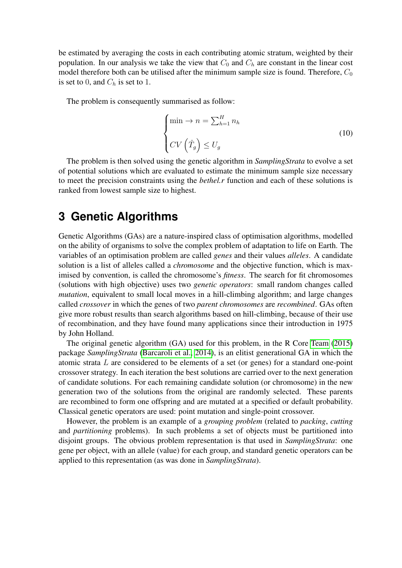be estimated by averaging the costs in each contributing atomic stratum, weighted by their population. In our analysis we take the view that  $C_0$  and  $C_h$  are constant in the linear cost model therefore both can be utilised after the minimum sample size is found. Therefore,  $C_0$ is set to 0, and  $C_h$  is set to 1.

The problem is consequently summarised as follow:

$$
\begin{cases}\n\min \to n = \sum_{h=1}^{H} n_h \\
CV\left(\hat{T}_g\right) \le U_g\n\end{cases}
$$
\n(10)

The problem is then solved using the genetic algorithm in *SamplingStrata* to evolve a set of potential solutions which are evaluated to estimate the minimum sample size necessary to meet the precision constraints using the *bethel.r* function and each of these solutions is ranked from lowest sample size to highest.

### **3 Genetic Algorithms**

Genetic Algorithms (GAs) are a nature-inspired class of optimisation algorithms, modelled on the ability of organisms to solve the complex problem of adaptation to life on Earth. The variables of an optimisation problem are called *genes* and their values *alleles*. A candidate solution is a list of alleles called a *chromosome* and the objective function, which is maximised by convention, is called the chromosome's *fitness*. The search for fit chromosomes (solutions with high objective) uses two *genetic operators*: small random changes called *mutation*, equivalent to small local moves in a hill-climbing algorithm; and large changes called *crossover* in which the genes of two *parent chromosomes* are *recombined*. GAs often give more robust results than search algorithms based on hill-climbing, because of their use of recombination, and they have found many applications since their introduction in 1975 by John Holland.

The original genetic algorithm (GA) used for this problem, in the R Core [Team](#page-24-12) [\(2015\)](#page-24-12) package *SamplingStrata* [\(Barcaroli et al., 2014\)](#page-22-7), is an elitist generational GA in which the atomic strata L are considered to be elements of a set (or genes) for a standard one-point crossover strategy. In each iteration the best solutions are carried over to the next generation of candidate solutions. For each remaining candidate solution (or chromosome) in the new generation two of the solutions from the original are randomly selected. These parents are recombined to form one offspring and are mutated at a specified or default probability. Classical genetic operators are used: point mutation and single-point crossover.

However, the problem is an example of a *grouping problem* (related to *packing*, *cutting* and *partitioning* problems). In such problems a set of objects must be partitioned into disjoint groups. The obvious problem representation is that used in *SamplingStrata*: one gene per object, with an allele (value) for each group, and standard genetic operators can be applied to this representation (as was done in *SamplingStrata*).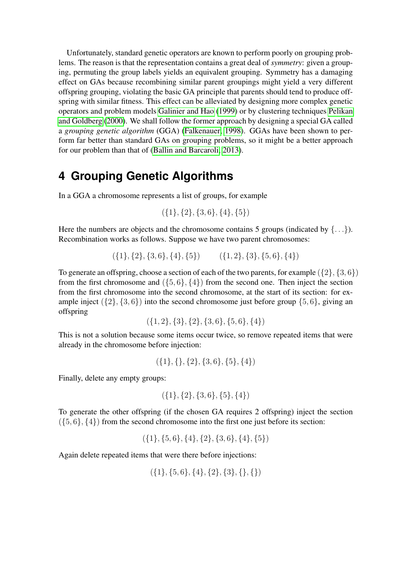Unfortunately, standard genetic operators are known to perform poorly on grouping problems. The reason is that the representation contains a great deal of *symmetry*: given a grouping, permuting the group labels yields an equivalent grouping. Symmetry has a damaging effect on GAs because recombining similar parent groupings might yield a very different offspring grouping, violating the basic GA principle that parents should tend to produce offspring with similar fitness. This effect can be alleviated by designing more complex genetic operators and problem models [Galinier and Hao](#page-23-9) [\(1999\)](#page-23-9) or by clustering techniques [Pelikan](#page-24-13) [and Goldberg](#page-24-13) [\(2000\)](#page-24-13). We shall follow the former approach by designing a special GA called a *grouping genetic algorithm* (GGA) [\(Falkenauer, 1998\)](#page-23-10). GGAs have been shown to perform far better than standard GAs on grouping problems, so it might be a better approach for our problem than that of [\(Ballin and Barcaroli, 2013\)](#page-22-11).

### **4 Grouping Genetic Algorithms**

In a GGA a chromosome represents a list of groups, for example

$$
(\{1\},\{2\},\{3,6\},\{4\},\{5\})
$$

Here the numbers are objects and the chromosome contains 5 groups (indicated by  $\{\ldots\}$ ). Recombination works as follows. Suppose we have two parent chromosomes:

$$
(\{1\},\{2\},\{3,6\},\{4\},\{5\}) \qquad (\{1,2\},\{3\},\{5,6\},\{4\})
$$

To generate an offspring, choose a section of each of the two parents, for example  $({2}, {3}, 6)$ from the first chromosome and  $(\{5, 6\}, \{4\})$  from the second one. Then inject the section from the first chromosome into the second chromosome, at the start of its section: for example inject  $({2}, {3, 6})$  into the second chromosome just before group  ${5, 6}$ , giving an offspring

$$
(\{1,2\},\{3\},\{2\},\{3,6\},\{5,6\},\{4\})
$$

This is not a solution because some items occur twice, so remove repeated items that were already in the chromosome before injection:

$$
(\{1\}, \{\}, \{2\}, \{3, 6\}, \{5\}, \{4\})
$$

Finally, delete any empty groups:

$$
(\{1\},\{2\},\{3,6\},\{5\},\{4\})
$$

To generate the other offspring (if the chosen GA requires 2 offspring) inject the section  $({5, 6}, {4})$  from the second chromosome into the first one just before its section:

 $({1}, {5}, 6, {4}, {2}, {3}, 6, {4}, {5})$ 

Again delete repeated items that were there before injections:

$$
(\{1\},\{5,6\},\{4\},\{2\},\{3\},\{\},\{\})
$$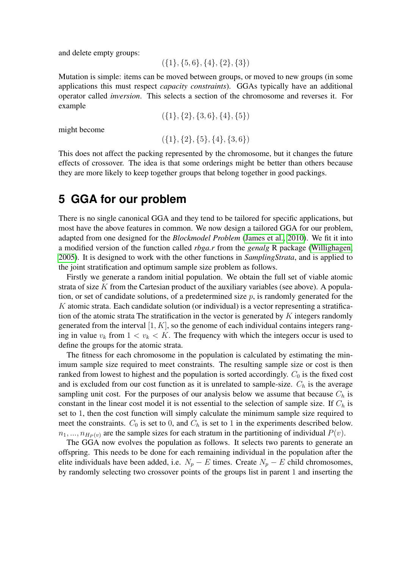and delete empty groups:

 $({1}, {5}, 6, {4}, {2}, {3})$ 

Mutation is simple: items can be moved between groups, or moved to new groups (in some applications this must respect *capacity constraints*). GGAs typically have an additional operator called *inversion*. This selects a section of the chromosome and reverses it. For example

$$
(\{1\},\{2\},\{3,6\},\{4\},\{5\})
$$

might become

$$
(\{1\},\{2\},\{5\},\{4\},\{3,6\})
$$

This does not affect the packing represented by the chromosome, but it changes the future effects of crossover. The idea is that some orderings might be better than others because they are more likely to keep together groups that belong together in good packings.

#### **5 GGA for our problem**

There is no single canonical GGA and they tend to be tailored for specific applications, but most have the above features in common. We now design a tailored GGA for our problem, adapted from one designed for the *Blockmodel Problem* [\(James et al., 2010\)](#page-23-11). We fit it into a modified version of the function called *rbga.r* from the *genalg* R package [\(Willighagen,](#page-24-14) [2005\)](#page-24-14). It is designed to work with the other functions in *SamplingStrata*, and is applied to the joint stratification and optimum sample size problem as follows.

Firstly we generate a random initial population. We obtain the full set of viable atomic strata of size  $K$  from the Cartesian product of the auxiliary variables (see above). A population, or set of candidate solutions, of a predetermined size  $p$ , is randomly generated for the K atomic strata. Each candidate solution (or individual) is a vector representing a stratification of the atomic strata The stratification in the vector is generated by  $K$  integers randomly generated from the interval  $[1, K]$ , so the genome of each individual contains integers ranging in value  $v_k$  from  $1 < v_k < K$ . The frequency with which the integers occur is used to define the groups for the atomic strata.

The fitness for each chromosome in the population is calculated by estimating the minimum sample size required to meet constraints. The resulting sample size or cost is then ranked from lowest to highest and the population is sorted accordingly.  $C_0$  is the fixed cost and is excluded from our cost function as it is unrelated to sample-size.  $C_h$  is the average sampling unit cost. For the purposes of our analysis below we assume that because  $C_h$  is constant in the linear cost model it is not essential to the selection of sample size. If  $C_h$  is set to 1, then the cost function will simply calculate the minimum sample size required to meet the constraints.  $C_0$  is set to 0, and  $C_h$  is set to 1 in the experiments described below.  $n_1, ..., n_{H_P(v)}$  are the sample sizes for each stratum in the partitioning of individual  $P(v)$ .

The GGA now evolves the population as follows. It selects two parents to generate an offspring. This needs to be done for each remaining individual in the population after the elite individuals have been added, i.e.  $N_p - E$  times. Create  $N_p - E$  child chromosomes, by randomly selecting two crossover points of the groups list in parent 1 and inserting the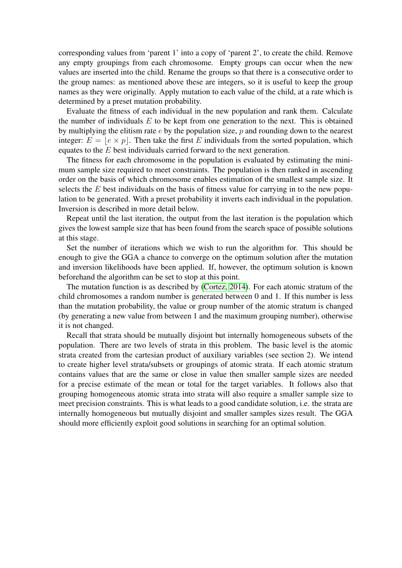corresponding values from 'parent 1' into a copy of 'parent 2', to create the child. Remove any empty groupings from each chromosome. Empty groups can occur when the new values are inserted into the child. Rename the groups so that there is a consecutive order to the group names: as mentioned above these are integers, so it is useful to keep the group names as they were originally. Apply mutation to each value of the child, at a rate which is determined by a preset mutation probability.

Evaluate the fitness of each individual in the new population and rank them. Calculate the number of individuals  $E$  to be kept from one generation to the next. This is obtained by multiplying the elitism rate  $e$  by the population size,  $p$  and rounding down to the nearest integer:  $E = |e \times p|$ . Then take the first E individuals from the sorted population, which equates to the E best individuals carried forward to the next generation.

The fitness for each chromosome in the population is evaluated by estimating the minimum sample size required to meet constraints. The population is then ranked in ascending order on the basis of which chromosome enables estimation of the smallest sample size. It selects the  $E$  best individuals on the basis of fitness value for carrying in to the new population to be generated. With a preset probability it inverts each individual in the population. Inversion is described in more detail below.

Repeat until the last iteration, the output from the last iteration is the population which gives the lowest sample size that has been found from the search space of possible solutions at this stage.

Set the number of iterations which we wish to run the algorithm for. This should be enough to give the GGA a chance to converge on the optimum solution after the mutation and inversion likelihoods have been applied. If, however, the optimum solution is known beforehand the algorithm can be set to stop at this point.

The mutation function is as described by [\(Cortez, 2014\)](#page-22-12). For each atomic stratum of the child chromosomes a random number is generated between 0 and 1. If this number is less than the mutation probability, the value or group number of the atomic stratum is changed (by generating a new value from between 1 and the maximum grouping number), otherwise it is not changed.

Recall that strata should be mutually disjoint but internally homogeneous subsets of the population. There are two levels of strata in this problem. The basic level is the atomic strata created from the cartesian product of auxiliary variables (see section 2). We intend to create higher level strata/subsets or groupings of atomic strata. If each atomic stratum contains values that are the same or close in value then smaller sample sizes are needed for a precise estimate of the mean or total for the target variables. It follows also that grouping homogeneous atomic strata into strata will also require a smaller sample size to meet precision constraints. This is what leads to a good candidate solution, i.e. the strata are internally homogeneous but mutually disjoint and smaller samples sizes result. The GGA should more efficiently exploit good solutions in searching for an optimal solution.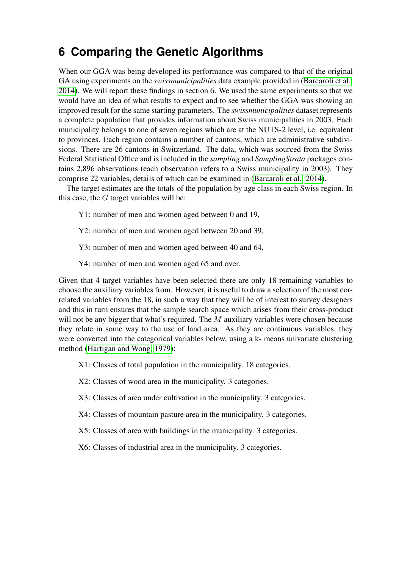## **6 Comparing the Genetic Algorithms**

When our GGA was being developed its performance was compared to that of the original GA using experiments on the *swissmunicipalities* data example provided in [\(Barcaroli et al.,](#page-22-7) [2014\)](#page-22-7). We will report these findings in section 6. We used the same experiments so that we would have an idea of what results to expect and to see whether the GGA was showing an improved result for the same starting parameters. The *swissmunicipalities* dataset represents a complete population that provides information about Swiss municipalities in 2003. Each municipality belongs to one of seven regions which are at the NUTS-2 level, i.e. equivalent to provinces. Each region contains a number of cantons, which are administrative subdivisions. There are 26 cantons in Switzerland. The data, which was sourced from the Swiss Federal Statistical Office and is included in the *sampling* and *SamplingStrata* packages contains 2,896 observations (each observation refers to a Swiss municipality in 2003). They comprise 22 variables, details of which can be examined in [\(Barcaroli et al., 2014\)](#page-22-7).

The target estimates are the totals of the population by age class in each Swiss region. In this case, the  $G$  target variables will be:

- Y1: number of men and women aged between 0 and 19,
- Y2: number of men and women aged between 20 and 39,
- Y3: number of men and women aged between 40 and 64,
- Y4: number of men and women aged 65 and over.

Given that 4 target variables have been selected there are only 18 remaining variables to choose the auxiliary variables from. However, it is useful to draw a selection of the most correlated variables from the 18, in such a way that they will be of interest to survey designers and this in turn ensures that the sample search space which arises from their cross-product will not be any bigger that what's required. The  $M$  auxiliary variables were chosen because they relate in some way to the use of land area. As they are continuous variables, they were converted into the categorical variables below, using a k- means univariate clustering method [\(Hartigan and Wong, 1979\)](#page-23-12):

- X1: Classes of total population in the municipality. 18 categories.
- X2: Classes of wood area in the municipality. 3 categories.
- X3: Classes of area under cultivation in the municipality. 3 categories.
- X4: Classes of mountain pasture area in the municipality. 3 categories.
- X5: Classes of area with buildings in the municipality. 3 categories.
- X6: Classes of industrial area in the municipality. 3 categories.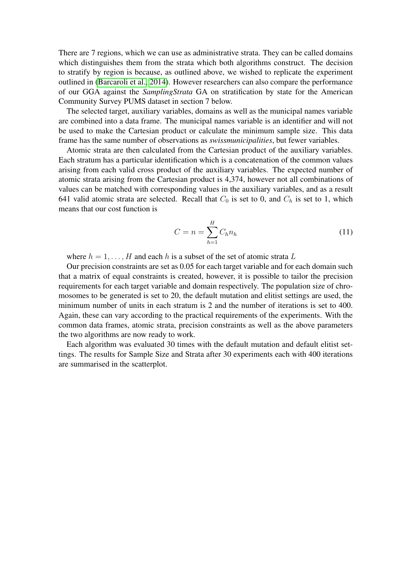There are 7 regions, which we can use as administrative strata. They can be called domains which distinguishes them from the strata which both algorithms construct. The decision to stratify by region is because, as outlined above, we wished to replicate the experiment outlined in [\(Barcaroli et al., 2014\)](#page-22-7). However researchers can also compare the performance of our GGA against the *SamplingStrata* GA on stratification by state for the American Community Survey PUMS dataset in section 7 below.

The selected target, auxiliary variables, domains as well as the municipal names variable are combined into a data frame. The municipal names variable is an identifier and will not be used to make the Cartesian product or calculate the minimum sample size. This data frame has the same number of observations as *swissmunicipalities*, but fewer variables.

Atomic strata are then calculated from the Cartesian product of the auxiliary variables. Each stratum has a particular identification which is a concatenation of the common values arising from each valid cross product of the auxiliary variables. The expected number of atomic strata arising from the Cartesian product is 4,374, however not all combinations of values can be matched with corresponding values in the auxiliary variables, and as a result 641 valid atomic strata are selected. Recall that  $C_0$  is set to 0, and  $C_h$  is set to 1, which means that our cost function is

$$
C = n = \sum_{h=1}^{H} C_h n_h
$$
\n(11)

where  $h = 1, \ldots, H$  and each h is a subset of the set of atomic strata L

Our precision constraints are set as 0.05 for each target variable and for each domain such that a matrix of equal constraints is created, however, it is possible to tailor the precision requirements for each target variable and domain respectively. The population size of chromosomes to be generated is set to 20, the default mutation and elitist settings are used, the minimum number of units in each stratum is 2 and the number of iterations is set to 400. Again, these can vary according to the practical requirements of the experiments. With the common data frames, atomic strata, precision constraints as well as the above parameters the two algorithms are now ready to work.

Each algorithm was evaluated 30 times with the default mutation and default elitist settings. The results for Sample Size and Strata after 30 experiments each with 400 iterations are summarised in the scatterplot.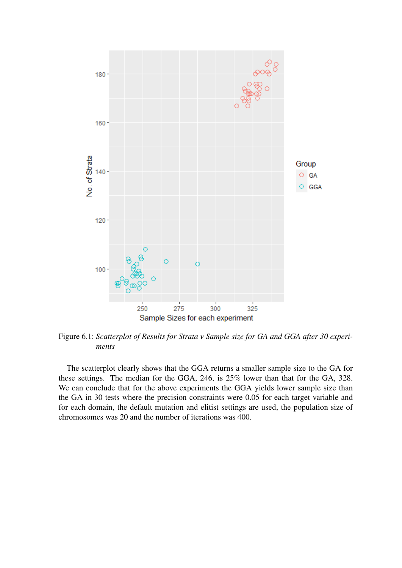

Figure 6.1: *Scatterplot of Results for Strata v Sample size for GA and GGA after 30 experiments*

The scatterplot clearly shows that the GGA returns a smaller sample size to the GA for these settings. The median for the GGA, 246, is 25% lower than that for the GA, 328. We can conclude that for the above experiments the GGA yields lower sample size than the GA in 30 tests where the precision constraints were 0.05 for each target variable and for each domain, the default mutation and elitist settings are used, the population size of chromosomes was 20 and the number of iterations was 400.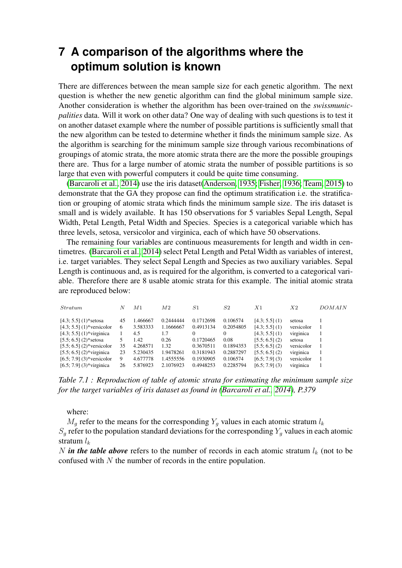## **7 A comparison of the algorithms where the optimum solution is known**

There are differences between the mean sample size for each genetic algorithm. The next question is whether the new genetic algorithm can find the global minimum sample size. Another consideration is whether the algorithm has been over-trained on the *swissmunicpalities* data. Will it work on other data? One way of dealing with such questions is to test it on another dataset example where the number of possible partitions is sufficiently small that the new algorithm can be tested to determine whether it finds the minimum sample size. As the algorithm is searching for the minimum sample size through various recombinations of groupings of atomic strata, the more atomic strata there are the more the possible groupings there are. Thus for a large number of atomic strata the number of possible partitions is so large that even with powerful computers it could be quite time consuming.

[\(Barcaroli et al., 2014\)](#page-22-7) use the iris dataset[\(Anderson, 1935;](#page-21-1) [Fisher, 1936;](#page-23-13) [Team, 2015\)](#page-24-12) to demonstrate that the GA they propose can find the optimum stratification i.e. the stratification or grouping of atomic strata which finds the minimum sample size. The iris dataset is small and is widely available. It has 150 observations for 5 variables Sepal Length, Sepal Width, Petal Length, Petal Width and Species. Species is a categorical variable which has three levels, setosa, versicolor and virginica, each of which have 50 observations.

The remaining four variables are continuous measurements for length and width in centimetres. [\(Barcaroli et al., 2014\)](#page-22-7) select Petal Length and Petal Width as variables of interest, i.e. target variables. They select Sepal Length and Species as two auxiliary variables. Sepal Length is continuous and, as is required for the algorithm, is converted to a categorical variable. Therefore there are 8 usable atomic strata for this example. The initial atomic strata are reproduced below:

| <i>Stratum</i>                                                                                                                                    | N                         | М1                                           | M <sub>2</sub>                              | S1                                               | S <sub>2</sub>                                  | X1                                                                                         | X <sub>2</sub>                                               | DOMAIN |
|---------------------------------------------------------------------------------------------------------------------------------------------------|---------------------------|----------------------------------------------|---------------------------------------------|--------------------------------------------------|-------------------------------------------------|--------------------------------------------------------------------------------------------|--------------------------------------------------------------|--------|
| $[4.3; 5.5]$ (1)*setosa<br>$[4.3; 5.5] (1)$ *versicolor<br>$[4.3; 5.5]$ (1)*virginica                                                             | 45<br>6                   | .466667<br>3.583333<br>4.5<br>1.42           | 0.2444444<br>1.1666667<br>1.7<br>0.26       | 0.1712698<br>0.4913134<br>$\Omega$<br>0.1720465  | 0.106574<br>0.2054805<br>$\Omega$<br>0.08       | $[4.3; 5.5]$ (1)<br>$[4.3; 5.5]$ (1)<br>$[4.3; 5.5]$ (1)                                   | setosa<br>versicolor<br>virginica                            |        |
| $[5.5; 6.5]$ (2)*setosa<br>$[5.5; 6.5]$ (2)*versicolor<br>$[5.5; 6.5]$ (2)*virginica<br>$[6.5; 7.9]$ (3)*versicolor<br>$[6.5; 7.9]$ (3)*virginica | 5.<br>35<br>23<br>9<br>26 | 4.268571<br>5.230435<br>4.677778<br>5.876923 | 1.32<br>1.9478261<br>1.4555556<br>2.1076923 | 0.3670511<br>0.3181943<br>0.1930905<br>0.4948253 | 0.1894353<br>0.2887297<br>0.106574<br>0.2285794 | [5.5; 6.5] (2)<br>[5.5; 6.5] (2)<br>[5.5; 6.5] (2)<br>$[6.5; 7.9]$ (3)<br>$[6.5; 7.9]$ (3) | setosa<br>versicolor<br>virginica<br>versicolor<br>virginica |        |

*Table 7.1 : Reproduction of table of atomic strata for estimating the minimum sample size for the target variables of iris dataset as found in [\(Barcaroli et al., 2014\)](#page-22-7), P.379*

where:

 $M_g$  refer to the means for the corresponding  $Y_g$  values in each atomic stratum  $l_k$  $S_g$  refer to the population standard deviations for the corresponding  $Y_g$  values in each atomic stratum  $l_k$ 

N *in the table above* refers to the number of records in each atomic stratum  $l_k$  (not to be confused with  $N$  the number of records in the entire population.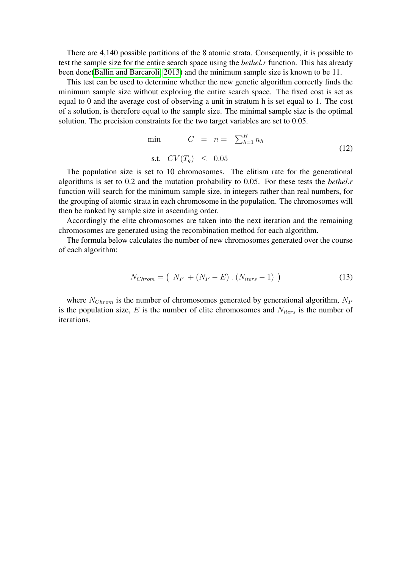There are 4,140 possible partitions of the 8 atomic strata. Consequently, it is possible to test the sample size for the entire search space using the *bethel.r* function. This has already been done[\(Ballin and Barcaroli, 2013\)](#page-22-11) and the minimum sample size is known to be 11.

This test can be used to determine whether the new genetic algorithm correctly finds the minimum sample size without exploring the entire search space. The fixed cost is set as equal to 0 and the average cost of observing a unit in stratum h is set equal to 1. The cost of a solution, is therefore equal to the sample size. The minimal sample size is the optimal solution. The precision constraints for the two target variables are set to 0.05.

$$
\min \qquad C = n = \sum_{h=1}^{H} n_h
$$
\n
$$
\text{s.t. } CV(T_g) \leq 0.05 \tag{12}
$$

The population size is set to 10 chromosomes. The elitism rate for the generational algorithms is set to 0.2 and the mutation probability to 0.05. For these tests the *bethel.r* function will search for the minimum sample size, in integers rather than real numbers, for the grouping of atomic strata in each chromosome in the population. The chromosomes will then be ranked by sample size in ascending order.

Accordingly the elite chromosomes are taken into the next iteration and the remaining chromosomes are generated using the recombination method for each algorithm.

The formula below calculates the number of new chromosomes generated over the course of each algorithm:

$$
N_{Chrom} = \left( N_P + (N_P - E) \cdot (N_{iters} - 1) \right) \tag{13}
$$

where  $N_{Chrom}$  is the number of chromosomes generated by generational algorithm,  $N_P$ is the population size,  $E$  is the number of elite chromosomes and  $N_{iters}$  is the number of iterations.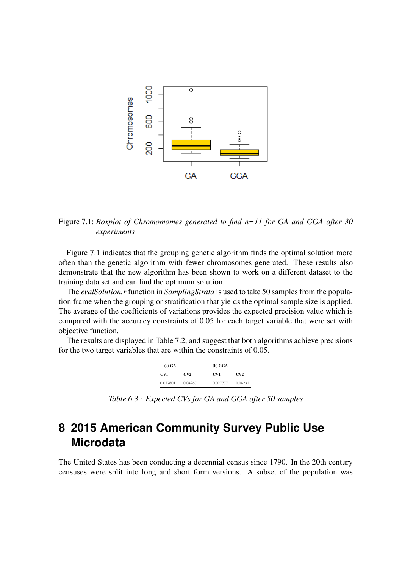

Figure 7.1: *Boxplot of Chromomomes generated to find n=11 for GA and GGA after 30 experiments*

Figure 7.1 indicates that the grouping genetic algorithm finds the optimal solution more often than the genetic algorithm with fewer chromosomes generated. These results also demonstrate that the new algorithm has been shown to work on a different dataset to the training data set and can find the optimum solution.

The *evalSolution.r* function in *SamplingStrata* is used to take 50 samples from the population frame when the grouping or stratification that yields the optimal sample size is applied. The average of the coefficients of variations provides the expected precision value which is compared with the accuracy constraints of 0.05 for each target variable that were set with objective function.

The results are displayed in Table 7.2, and suggest that both algorithms achieve precisions for the two target variables that are within the constraints of 0.05.

| (a) GA   |         | (b) GGA  |          |
|----------|---------|----------|----------|
| CV1      | CV2     | CV1      | CV2      |
| 0.027601 | 0.04967 | 0.027777 | 0.042311 |

*Table 6.3 : Expected CVs for GA and GGA after 50 samples*

## **8 2015 American Community Survey Public Use Microdata**

The United States has been conducting a decennial census since 1790. In the 20th century censuses were split into long and short form versions. A subset of the population was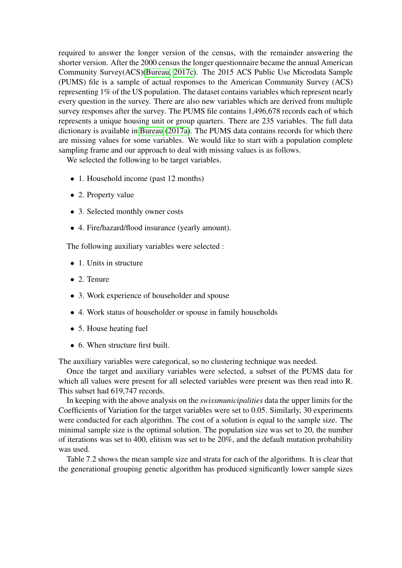required to answer the longer version of the census, with the remainder answering the shorter version. After the 2000 census the longer questionnaire became the annual American Community Survey(ACS)[\(Bureau, 2017c\)](#page-22-13). The 2015 ACS Public Use Microdata Sample (PUMS) file is a sample of actual responses to the American Community Survey (ACS) representing 1% of the US population. The dataset contains variables which represent nearly every question in the survey. There are also new variables which are derived from multiple survey responses after the survey. The PUMS file contains 1,496,678 records each of which represents a unique housing unit or group quarters. There are 235 variables. The full data dictionary is available in [Bureau](#page-22-14) [\(2017a\)](#page-22-14). The PUMS data contains records for which there are missing values for some variables. We would like to start with a population complete sampling frame and our approach to deal with missing values is as follows.

We selected the following to be target variables.

- 1. Household income (past 12 months)
- 2. Property value
- 3. Selected monthly owner costs
- 4. Fire/hazard/flood insurance (yearly amount).

The following auxiliary variables were selected :

- 1. Units in structure
- 2. Tenure
- 3. Work experience of householder and spouse
- 4. Work status of householder or spouse in family households
- 5. House heating fuel
- 6. When structure first built.

The auxiliary variables were categorical, so no clustering technique was needed.

Once the target and auxiliary variables were selected, a subset of the PUMS data for which all values were present for all selected variables were present was then read into R. This subset had 619,747 records.

In keeping with the above analysis on the *swissmunicipalities* data the upper limits for the Coefficients of Variation for the target variables were set to 0.05. Similarly, 30 experiments were conducted for each algorithm. The cost of a solution is equal to the sample size. The minimal sample size is the optimal solution. The population size was set to 20, the number of iterations was set to 400, elitism was set to be 20%, and the default mutation probability was used.

Table 7.2 shows the mean sample size and strata for each of the algorithms. It is clear that the generational grouping genetic algorithm has produced significantly lower sample sizes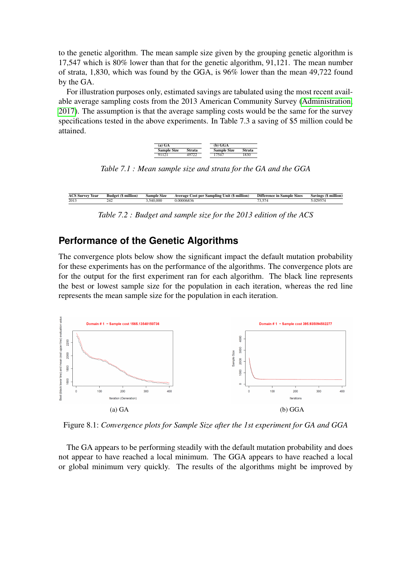to the genetic algorithm. The mean sample size given by the grouping genetic algorithm is 17,547 which is 80% lower than that for the genetic algorithm, 91,121. The mean number of strata, 1,830, which was found by the GGA, is 96% lower than the mean 49,722 found by the GA.

For illustration purposes only, estimated savings are tabulated using the most recent available average sampling costs from the 2013 American Community Survey [\(Administration,](#page-21-2) [2017\)](#page-21-2). The assumption is that the average sampling costs would be the same for the survey specifications tested in the above experiments. In Table 7.3 a saving of \$5 million could be attained.



*Table 7.1 : Mean sample size and strata for the GA and the GGA*

| ACS<br>Year<br>Survey | <b>Budget (\$ million)</b> | Sample Size | Average Cost per Sampling Unit (\$ million) | <b>Difference in Sample Sizes</b> | million<br>Savings |
|-----------------------|----------------------------|-------------|---------------------------------------------|-----------------------------------|--------------------|
| 2013                  |                            | i40.000     | J6831                                       | 9.31 ه                            | 02057<br>J.VZ7J14  |

*Table 7.2 : Budget and sample size for the 2013 edition of the ACS*

#### **Performance of the Genetic Algorithms**

The convergence plots below show the significant impact the default mutation probability for these experiments has on the performance of the algorithms. The convergence plots are for the output for the first experiment ran for each algorithm. The black line represents the best or lowest sample size for the population in each iteration, whereas the red line represents the mean sample size for the population in each iteration.



Figure 8.1: *Convergence plots for Sample Size after the 1st experiment for GA and GGA*

The GA appears to be performing steadily with the default mutation probability and does not appear to have reached a local minimum. The GGA appears to have reached a local or global minimum very quickly. The results of the algorithms might be improved by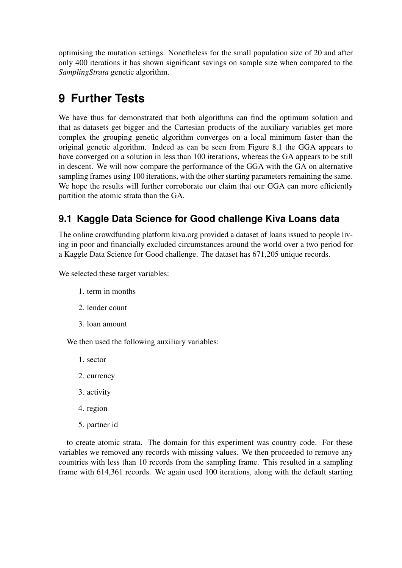optimising the mutation settings. Nonetheless for the small population size of 20 and after only 400 iterations it has shown significant savings on sample size when compared to the *SamplingStrata* genetic algorithm.

## **9 Further Tests**

We have thus far demonstrated that both algorithms can find the optimum solution and that as datasets get bigger and the Cartesian products of the auxiliary variables get more complex the grouping genetic algorithm converges on a local minimum faster than the original genetic algorithm. Indeed as can be seen from Figure 8.1 the GGA appears to have converged on a solution in less than 100 iterations, whereas the GA appears to be still in descent. We will now compare the performance of the GGA with the GA on alternative sampling frames using 100 iterations, with the other starting parameters remaining the same. We hope the results will further corroborate our claim that our GGA can more efficiently partition the atomic strata than the GA.

### **9.1 Kaggle Data Science for Good challenge Kiva Loans data**

The online crowdfunding platform kiva.org provided a dataset of loans issued to people living in poor and financially excluded circumstances around the world over a two period for a Kaggle Data Science for Good challenge. The dataset has 671,205 unique records.

We selected these target variables:

- 1. term in months
- 2. lender count
- 3. loan amount

We then used the following auxiliary variables:

- 1. sector
- 2. currency
- 3. activity
- 4. region
- 5. partner id

to create atomic strata. The domain for this experiment was country code. For these variables we removed any records with missing values. We then proceeded to remove any countries with less than 10 records from the sampling frame. This resulted in a sampling frame with 614,361 records. We again used 100 iterations, along with the default starting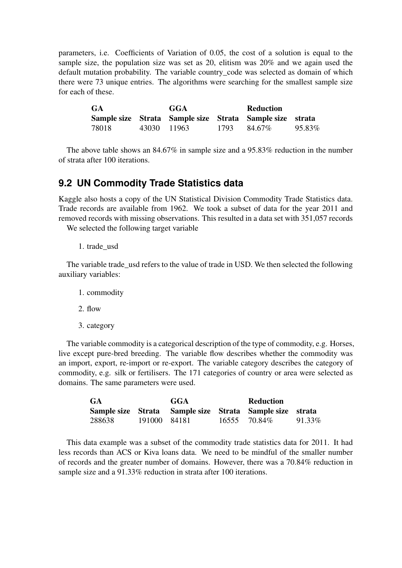parameters, i.e. Coefficients of Variation of 0.05, the cost of a solution is equal to the sample size, the population size was set as 20, elitism was 20% and we again used the default mutation probability. The variable country\_code was selected as domain of which there were 73 unique entries. The algorithms were searching for the smallest sample size for each of these.

| <b>GA</b> |             | GGA |      |                                                          |        |
|-----------|-------------|-----|------|----------------------------------------------------------|--------|
|           |             |     |      | Sample size Strata Sample size Strata Sample size strata |        |
| 78018     | 43030 11963 |     | 1793 | 84.67%                                                   | 95.83% |

The above table shows an 84.67% in sample size and a 95.83% reduction in the number of strata after 100 iterations.

#### **9.2 UN Commodity Trade Statistics data**

Kaggle also hosts a copy of the UN Statistical Division Commodity Trade Statistics data. Trade records are available from 1962. We took a subset of data for the year 2011 and removed records with missing observations. This resulted in a data set with 351,057 records

We selected the following target variable

1. trade\_usd

The variable trade\_usd refers to the value of trade in USD. We then selected the following auxiliary variables:

- 1. commodity
- 2. flow
- 3. category

The variable commodity is a categorical description of the type of commodity, e.g. Horses, live except pure-bred breeding. The variable flow describes whether the commodity was an import, export, re-import or re-export. The variable category describes the category of commodity, e.g. silk or fertilisers. The 171 categories of country or area were selected as domains. The same parameters were used.

| <b>GA</b> |              | GGA | Reduction                                                |        |
|-----------|--------------|-----|----------------------------------------------------------|--------|
|           |              |     | Sample size Strata Sample size Strata Sample size strata |        |
| 288638    | 191000 84181 |     | 16555 70.84\%                                            | 91.33% |

This data example was a subset of the commodity trade statistics data for 2011. It had less records than ACS or Kiva loans data. We need to be mindful of the smaller number of records and the greater number of domains. However, there was a 70.84% reduction in sample size and a 91.33% reduction in strata after 100 iterations.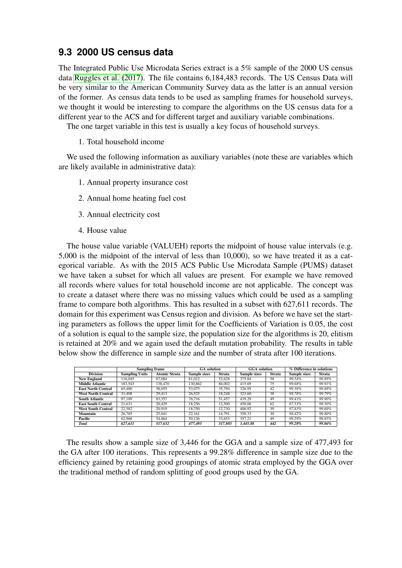#### **9.3 2000 US census data**

The Integrated Public Use Microdata Series extract is a 5% sample of the 2000 US census data [Ruggles et al.](#page-24-15) [\(2017\)](#page-24-15). The file contains 6,184,483 records. The US Census Data will be very similar to the American Community Survey data as the latter is an annual version of the former. As census data tends to be used as sampling frames for household surveys, we thought it would be interesting to compare the algorithms on the US census data for a different year to the ACS and for different target and auxiliary variable combinations.

The one target variable in this test is usually a key focus of household surveys.

#### 1. Total household income

We used the following information as auxiliary variables (note these are variables which are likely available in administrative data):

- 1. Annual property insurance cost
- 2. Annual home heating fuel cost
- 3. Annual electricity cost
- 4. House value

The house value variable (VALUEH) reports the midpoint of house value intervals (e.g. 5,000 is the midpoint of the interval of less than 10,000), so we have treated it as a categorical variable. As with the 2015 ACS Public Use Microdata Sample (PUMS) dataset we have taken a subset for which all values are present. For example we have removed all records where values for total household income are not applicable. The concept was to create a dataset where there was no missing values which could be used as a sampling frame to compare both algorithms. This has resulted in a subset with 627,611 records. The domain for this experiment was Census region and division. As before we have set the starting parameters as follows the upper limit for the Coefficients of Variation is 0.05, the cost of a solution is equal to the sample size, the population size for the algorithms is 20, elitism is retained at 20% and we again used the default mutation probability. The results in table below show the difference in sample size and the number of strata after 100 iterations.

|                           | Sampling frame        |                      | <b>GA</b> solution  |               | <b>GGA</b> solution |               | % Difference in solutions |               |
|---------------------------|-----------------------|----------------------|---------------------|---------------|---------------------|---------------|---------------------------|---------------|
| <b>Division</b>           | <b>Sampling Units</b> | <b>Atomic Strata</b> | <b>Sample sizes</b> | <b>Strata</b> | <b>Sample sizes</b> | <b>Strata</b> | <b>Sample sizes</b>       | <b>Strata</b> |
| <b>New England</b>        | 116,045               | 87.084               | 81,012              | 52.628        | 375.84              | 58            | 99.54%                    | 99.89%        |
| <b>Middle Atlantic</b>    | 183.543               | 138,470              | 130.862             | 86,002        | 415.69              | 75            | 99.68%                    | 99.91%        |
| <b>East North Central</b> | 65,480                | 58,055               | 53,075              | 35,794        | 326.95              | 42            | 99.38%                    | 99.88%        |
| <b>West North Central</b> | 31.408                | 29.413               | 26.525              | 18.248        | 323.60              | 38            | 98.78%                    | 99.79%        |
| <b>South Atlantic</b>     | 97.189                | 83.357               | 76.716              | 51.457        | 439.29              | 49            | 99.43%                    | 99.90%        |
| <b>East South Central</b> | 21.631                | 20.429               | 18.256              | 12,500        | 450.06              | 62            | 97.53%                    | 99.50%        |
| <b>West South Central</b> | 22.582                | 20.919               | 18.750              | 12.730        | 406.92              | 39            | 97.83%                    | 99.69%        |
| Mountain                  | 26,765                | 25,041               | 22.161              | 14.791        | 350.33              | 30            | 98.42%                    | 99.80%        |
| <b>Pacific</b>            | 62,968                | 54,864               | 50.136              | 33.653        | 357.21              | 49            | 99.29%                    | 99.85%        |
| <b>Total</b>              | 627.611               | 517.632              | 477,493             | 317.803       | 3.445.88            | 442           | 99.28%                    | 99.86%        |

The results show a sample size of 3,446 for the GGA and a sample size of 477,493 for the GA after 100 iterations. This represents a 99.28% difference in sample size due to the efficiency gained by retaining good groupings of atomic strata employed by the GGA over the traditional method of random splitting of good groups used by the GA.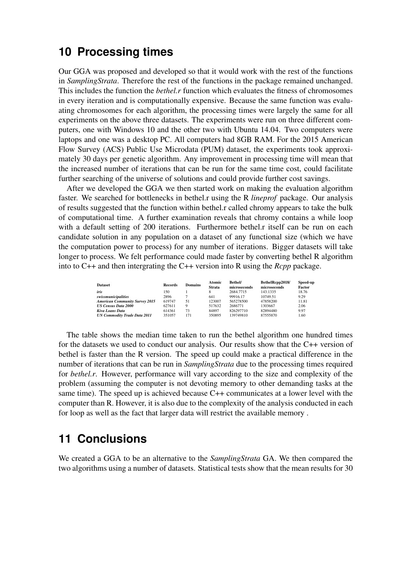## **10 Processing times**

Our GGA was proposed and developed so that it would work with the rest of the functions in *SamplingStrata*. Therefore the rest of the functions in the package remained unchanged. This includes the function the *bethel.r* function which evaluates the fitness of chromosomes in every iteration and is computationally expensive. Because the same function was evaluating chromosomes for each algorithm, the processing times were largely the same for all experiments on the above three datasets. The experiments were run on three different computers, one with Windows 10 and the other two with Ubuntu 14.04. Two computers were laptops and one was a desktop PC. All computers had 8GB RAM. For the 2015 American Flow Survey (ACS) Public Use Microdata (PUM) dataset, the experiments took approximately 30 days per genetic algorithm. Any improvement in processing time will mean that the increased number of iterations that can be run for the same time cost, could facilitate further searching of the universe of solutions and could provide further cost savings.

After we developed the GGA we then started work on making the evaluation algorithm faster. We searched for bottlenecks in bethel.r using the R *lineprof* package. Our analysis of results suggested that the function within bethel.r called chromy appears to take the bulk of computational time. A further examination reveals that chromy contains a while loop with a default setting of 200 iterations. Furthermore bethel. r itself can be run on each candidate solution in any population on a dataset of any functional size (which we have the computation power to process) for any number of iterations. Bigger datasets will take longer to process. We felt performance could made faster by converting bethel R algorithm into to C++ and then intergrating the C++ version into R using the *Rcpp* package.

| <b>Dataset</b>                        | <b>Records</b> | <b>Domains</b> | <b>Atomic</b><br><b>Strata</b> | Bethel/<br>microseconds | BethelRcpp2018/<br>microseconds | Speed-up<br>Factor |
|---------------------------------------|----------------|----------------|--------------------------------|-------------------------|---------------------------------|--------------------|
| iris                                  | 150            |                |                                | 2684.7715               | 143.1335                        | 18.76              |
| swissmunicipalities                   | 2896           |                | 641                            | 99916.17                | 10749.51                        | 9.29               |
| <b>American Community Survey 2015</b> | 619747         | 51             | 123007                         | 565278500               | 47858200                        | 11.81              |
| <b>US Census Data 2000</b>            | 627611         | Q              | 517632                         | 2686771                 | 1303667                         | 2.06               |
| Kiva Loans Data                       | 614361         | 73             | 84897                          | 826297710               | 82894480                        | 9.97               |
| <b>UN Commodity Trade Data 2011</b>   | 351057         | 171            | 350895                         | 139749810               | 87555870                        | 1.60               |

The table shows the median time taken to run the bethel algorithm one hundred times for the datasets we used to conduct our analysis. Our results show that the C++ version of bethel is faster than the R version. The speed up could make a practical difference in the number of iterations that can be run in *SamplingStrata* due to the processing times required for *bethel.r*. However, performance will vary according to the size and complexity of the problem (assuming the computer is not devoting memory to other demanding tasks at the same time). The speed up is achieved because C++ communicates at a lower level with the computer than R. However, it is also due to the complexity of the analysis conducted in each for loop as well as the fact that larger data will restrict the available memory .

## **11 Conclusions**

We created a GGA to be an alternative to the *SamplingStrata* GA. We then compared the two algorithms using a number of datasets. Statistical tests show that the mean results for 30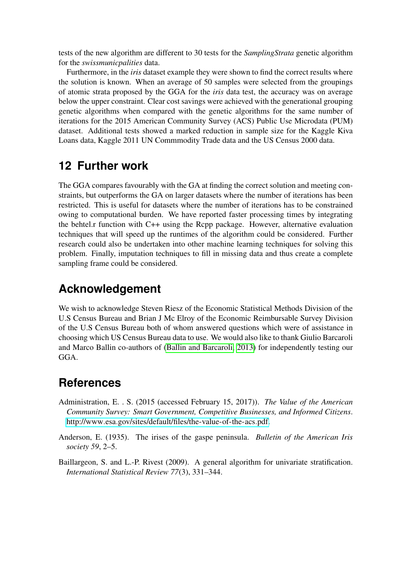tests of the new algorithm are different to 30 tests for the *SamplingStrata* genetic algorithm for the *swissmunicpalities* data.

Furthermore, in the *iris* dataset example they were shown to find the correct results where the solution is known. When an average of 50 samples were selected from the groupings of atomic strata proposed by the GGA for the *iris* data test, the accuracy was on average below the upper constraint. Clear cost savings were achieved with the generational grouping genetic algorithms when compared with the genetic algorithms for the same number of iterations for the 2015 American Community Survey (ACS) Public Use Microdata (PUM) dataset. Additional tests showed a marked reduction in sample size for the Kaggle Kiva Loans data, Kaggle 2011 UN Commmodity Trade data and the US Census 2000 data.

## **12 Further work**

The GGA compares favourably with the GA at finding the correct solution and meeting constraints, but outperforms the GA on larger datasets where the number of iterations has been restricted. This is useful for datasets where the number of iterations has to be constrained owing to computational burden. We have reported faster processing times by integrating the behtel.r function with C++ using the Rcpp package. However, alternative evaluation techniques that will speed up the runtimes of the algorithm could be considered. Further research could also be undertaken into other machine learning techniques for solving this problem. Finally, imputation techniques to fill in missing data and thus create a complete sampling frame could be considered.

## **Acknowledgement**

We wish to acknowledge Steven Riesz of the Economic Statistical Methods Division of the U.S Census Bureau and Brian J Mc Elroy of the Economic Reimbursable Survey Division of the U.S Census Bureau both of whom answered questions which were of assistance in choosing which US Census Bureau data to use. We would also like to thank Giulio Barcaroli and Marco Ballin co-authors of [\(Ballin and Barcaroli, 2013\)](#page-22-11) for independently testing our GGA.

## **References**

- <span id="page-21-2"></span>Administration, E. . S. (2015 (accessed February 15, 2017)). *The Value of the American Community Survey: Smart Government, Competitive Businesses, and Informed Citizens*. http://www.esa.[gov/sites/default/files/the-value-of-the-acs](http://www.esa.gov/sites/default/files/the-value-of-the-acs.pdf).pdf.
- <span id="page-21-1"></span>Anderson, E. (1935). The irises of the gaspe peninsula. *Bulletin of the American Iris society 59*, 2–5.
- <span id="page-21-0"></span>Baillargeon, S. and L.-P. Rivest (2009). A general algorithm for univariate stratification. *International Statistical Review 77*(3), 331–344.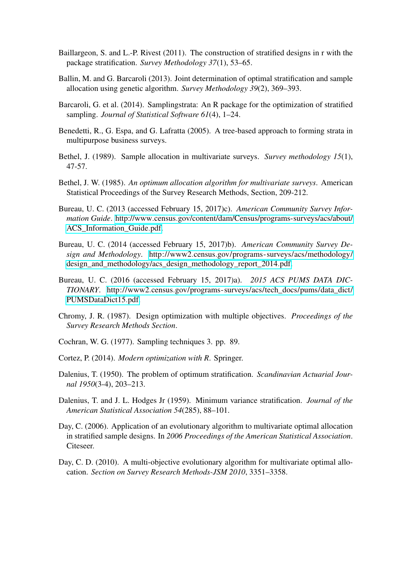- <span id="page-22-9"></span>Baillargeon, S. and L.-P. Rivest (2011). The construction of stratified designs in r with the package stratification. *Survey Methodology 37*(1), 53–65.
- <span id="page-22-11"></span>Ballin, M. and G. Barcaroli (2013). Joint determination of optimal stratification and sample allocation using genetic algorithm. *Survey Methodology 39*(2), 369–393.
- <span id="page-22-7"></span>Barcaroli, G. et al. (2014). Samplingstrata: An R package for the optimization of stratified sampling. *Journal of Statistical Software 61*(4), 1–24.
- <span id="page-22-10"></span>Benedetti, R., G. Espa, and G. Lafratta (2005). A tree-based approach to forming strata in multipurpose business surveys.
- <span id="page-22-3"></span>Bethel, J. (1989). Sample allocation in multivariate surveys. *Survey methodology 15*(1), 47-57.
- <span id="page-22-2"></span>Bethel, J. W. (1985). *An optimum allocation algorithm for multivariate surveys*. American Statistical Proceedings of the Survey Research Methods, Section, 209-212.
- <span id="page-22-13"></span>Bureau, U. C. (2013 (accessed February 15, 2017)c). *American Community Survey Information Guide*. http://www.census.[gov/content/dam/Census/programs-surveys/acs/about/](http://www.census.gov/content/dam/Census/programs-surveys/acs/about/ACS_Information_Guide.pdf) ACS Information Guide.pdf.
- Bureau, U. C. (2014 (accessed February 15, 2017)b). *American Community Survey Design and Methodology*. http://www2.census.[gov/programs-surveys/acs/methodology/](http://www2.census.gov/programs-surveys/acs/methodology/design_and_methodology/acs_design_methodology_report_2014.pdf) [design\\_and\\_methodology/acs\\_design\\_methodology\\_report\\_2014](http://www2.census.gov/programs-surveys/acs/methodology/design_and_methodology/acs_design_methodology_report_2014.pdf).pdf.
- <span id="page-22-14"></span>Bureau, U. C. (2016 (accessed February 15, 2017)a). *2015 ACS PUMS DATA DIC-TIONARY*. http://www2.census.[gov/programs-surveys/acs/tech\\_docs/pums/data\\_dict/](http://www2.census.gov/programs-surveys/acs/tech_docs/pums/data_dict/PUMSDataDict15.pdf) [PUMSDataDict15](http://www2.census.gov/programs-surveys/acs/tech_docs/pums/data_dict/PUMSDataDict15.pdf).pdf.
- <span id="page-22-4"></span>Chromy, J. R. (1987). Design optimization with multiple objectives. *Proceedings of the Survey Research Methods Section*.
- <span id="page-22-1"></span>Cochran, W. G. (1977). Sampling techniques 3. pp. 89.
- <span id="page-22-12"></span>Cortez, P. (2014). *Modern optimization with R*. Springer.
- <span id="page-22-0"></span>Dalenius, T. (1950). The problem of optimum stratification. *Scandinavian Actuarial Journal 1950*(3-4), 203–213.
- <span id="page-22-8"></span>Dalenius, T. and J. L. Hodges Jr (1959). Minimum variance stratification. *Journal of the American Statistical Association 54*(285), 88–101.
- <span id="page-22-5"></span>Day, C. (2006). Application of an evolutionary algorithm to multivariate optimal allocation in stratified sample designs. In *2006 Proceedings of the American Statistical Association*. Citeseer.
- <span id="page-22-6"></span>Day, C. D. (2010). A multi-objective evolutionary algorithm for multivariate optimal allocation. *Section on Survey Research Methods-JSM 2010*, 3351–3358.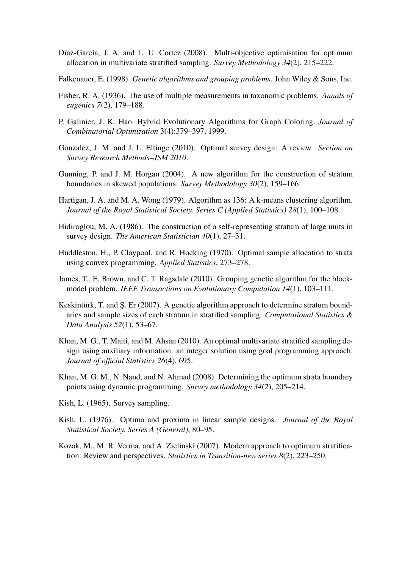- <span id="page-23-2"></span>Díaz-García, J. A. and L. U. Cortez (2008). Multi-objective optimisation for optimum allocation in multivariate stratified sampling. *Survey Methodology 34*(2), 215–222.
- <span id="page-23-10"></span>Falkenauer, E. (1998). *Genetic algorithms and grouping problems*. John Wiley & Sons, Inc.
- <span id="page-23-13"></span>Fisher, R. A. (1936). The use of multiple measurements in taxonomic problems. *Annals of eugenics 7*(2), 179–188.
- <span id="page-23-9"></span>P. Galinier, J. K. Hao. Hybrid Evolutionary Algorithms for Graph Coloring. *Journal of Combinatorial Optimization* 3(4):379–397, 1999.
- Gonzalez, J. M. and J. L. Eltinge (2010). Optimal survey design: A review. *Section on Survey Research Methods–JSM 2010*.
- <span id="page-23-5"></span>Gunning, P. and J. M. Horgan (2004). A new algorithm for the construction of stratum boundaries in skewed populations. *Survey Methodology 30*(2), 159–166.
- <span id="page-23-12"></span>Hartigan, J. A. and M. A. Wong (1979). Algorithm as 136: A k-means clustering algorithm. *Journal of the Royal Statistical Society. Series C (Applied Statistics) 28*(1), 100–108.
- <span id="page-23-4"></span>Hidiroglou, M. A. (1986). The construction of a self-representing stratum of large units in survey design. *The American Statistician 40*(1), 27–31.
- <span id="page-23-0"></span>Huddleston, H., P. Claypool, and R. Hocking (1970). Optimal sample allocation to strata using convex programming. *Applied Statistics*, 273–278.
- <span id="page-23-11"></span>James, T., E. Brown, and C. T. Ragsdale (2010). Grouping genetic algorithm for the blockmodel problem. *IEEE Transactions on Evolutionary Computation 14*(1), 103–111.
- <span id="page-23-8"></span>Keskintürk, T. and Ş. Er (2007). A genetic algorithm approach to determine stratum boundaries and sample sizes of each stratum in stratified sampling. *Computational Statistics & Data Analysis 52*(1), 53–67.
- <span id="page-23-3"></span>Khan, M. G., T. Maiti, and M. Ahsan (2010). An optimal multivariate stratified sampling design using auxiliary information: an integer solution using goal programming approach. *Journal of official Statistics 26*(4), 695.
- <span id="page-23-6"></span>Khan, M. G. M., N. Nand, and N. Ahmad (2008). Determining the optimum strata boundary points using dynamic programming. *Survey methodology 34*(2), 205–214.
- Kish, L. (1965). Survey sampling.
- <span id="page-23-1"></span>Kish, L. (1976). Optima and proxima in linear sample designs. *Journal of the Royal Statistical Society. Series A (General)*, 80–95.
- <span id="page-23-7"></span>Kozak, M., M. R. Verma, and A. Zielinski (2007). Modern approach to optimum stratification: Review and perspectives. *Statistics in Transition-new series 8*(2), 223–250.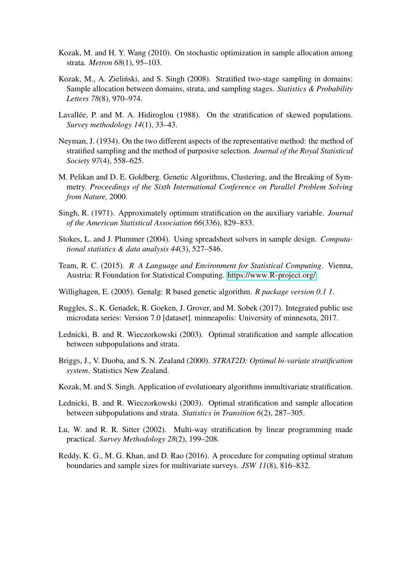- <span id="page-24-2"></span>Kozak, M. and H. Y. Wang (2010). On stochastic optimization in sample allocation among strata. *Metron 68*(1), 95–103.
- <span id="page-24-3"></span>Kozak, M., A. Zieliński, and S. Singh (2008). Stratified two-stage sampling in domains: Sample allocation between domains, strata, and sampling stages. *Statistics & Probability Letters 78*(8), 970–974.
- <span id="page-24-5"></span>Lavallée, P. and M. A. Hidiroglou (1988). On the stratification of skewed populations. *Survey methodology 14*(1), 33–43.
- <span id="page-24-0"></span>Neyman, J. (1934). On the two different aspects of the representative method: the method of stratified sampling and the method of purposive selection. *Journal of the Royal Statistical Society 97*(4), 558–625.
- <span id="page-24-13"></span>M. Pelikan and D. E. Goldberg. Genetic Algorithms, Clustering, and the Breaking of Symmetry. *Proceedings of the Sixth International Conference on Parallel Problem Solving from Nature,* 2000.
- <span id="page-24-4"></span>Singh, R. (1971). Approximately optimum stratification on the auxiliary variable. *Journal of the American Statistical Association 66*(336), 829–833.
- <span id="page-24-1"></span>Stokes, L. and J. Plummer (2004). Using spreadsheet solvers in sample design. *Computational statistics & data analysis 44*(3), 527–546.
- <span id="page-24-12"></span>Team, R. C. (2015). *R A Language and Environment for Statistical Computing*. Vienna, Austria: R Foundation for Statistical Computing. [https://www](https://www.R-project.org/).R-project.org/.
- <span id="page-24-14"></span>Willighagen, E. (2005). Genalg: R based genetic algorithm. *R package version 0.1 1*.
- <span id="page-24-15"></span>Ruggles, S., K. Genadek, R. Goeken, J. Grover, and M. Sobek (2017). Integrated public use microdata series: Version 7.0 [dataset]. minneapolis: University of minnesota, 2017.
- <span id="page-24-6"></span>Lednicki, B. and R. Wieczorkowski (2003). Optimal stratification and sample allocation between subpopulations and strata.
- <span id="page-24-8"></span>Briggs, J., V. Duoba, and S. N. Zealand (2000). *STRAT2D: Optimal bi-variate stratification system*. Statistics New Zealand.
- <span id="page-24-9"></span>Kozak, M. and S. Singh. Application of evolutionary algorithms inmultivariate stratification.
- <span id="page-24-7"></span>Lednicki, B. and R. Wieczorkowski (2003). Optimal stratification and sample allocation between subpopulations and strata. *Statistics in Transition 6*(2), 287–305.
- <span id="page-24-10"></span>Lu, W. and R. R. Sitter (2002). Multi-way stratification by linear programming made practical. *Survey Methodology 28*(2), 199–208.
- <span id="page-24-11"></span>Reddy, K. G., M. G. Khan, and D. Rao (2016). A procedure for computing optimal stratum boundaries and sample sizes for multivariate surveys. *JSW 11*(8), 816–832.